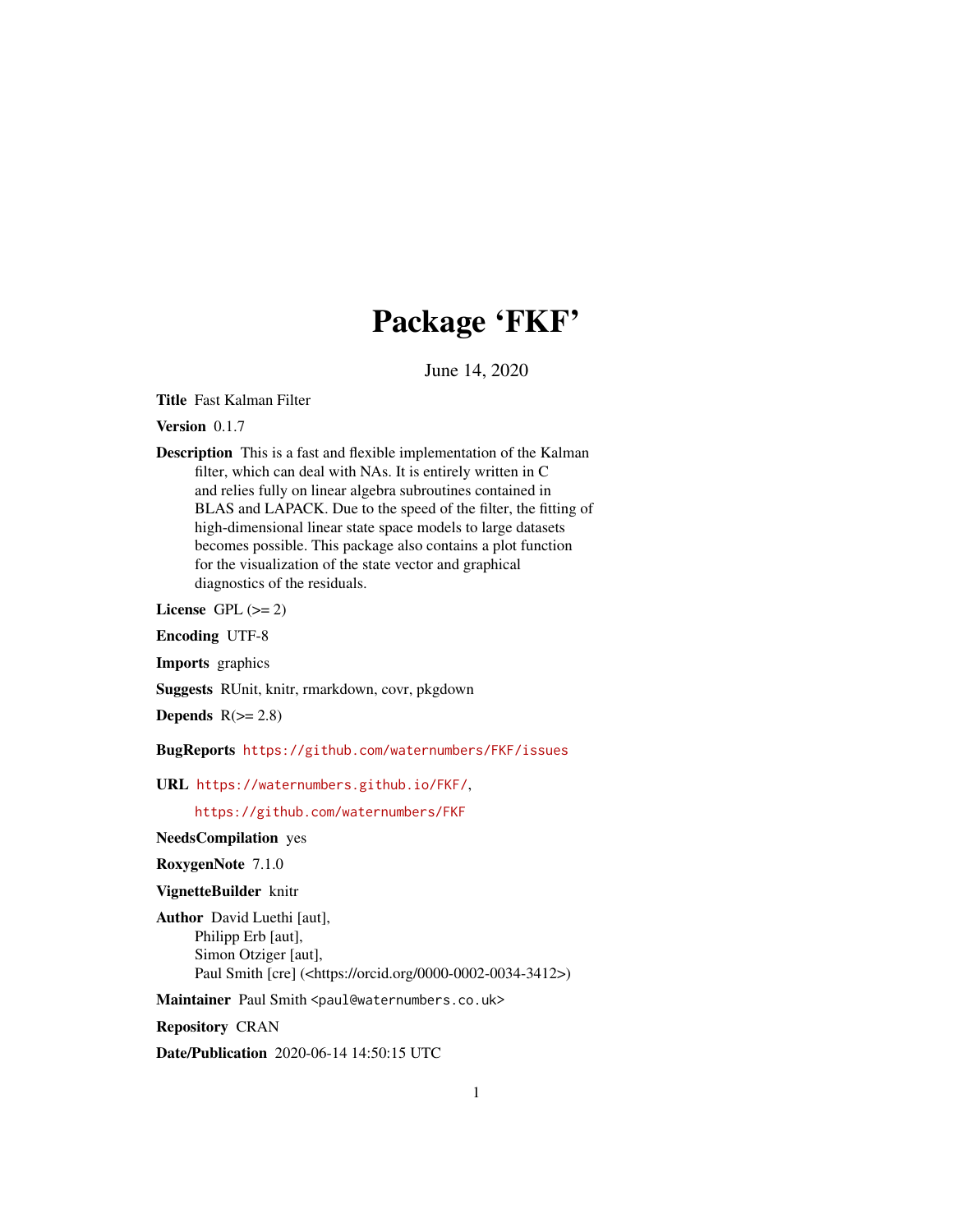## Package 'FKF'

June 14, 2020

<span id="page-0-0"></span>Title Fast Kalman Filter

Version 0.1.7

Description This is a fast and flexible implementation of the Kalman filter, which can deal with NAs. It is entirely written in C and relies fully on linear algebra subroutines contained in BLAS and LAPACK. Due to the speed of the filter, the fitting of high-dimensional linear state space models to large datasets becomes possible. This package also contains a plot function for the visualization of the state vector and graphical diagnostics of the residuals.

License GPL  $(>= 2)$ 

Encoding UTF-8

Imports graphics

Suggests RUnit, knitr, rmarkdown, covr, pkgdown

Depends  $R(>= 2.8)$ 

BugReports <https://github.com/waternumbers/FKF/issues>

URL <https://waternumbers.github.io/FKF/>,

<https://github.com/waternumbers/FKF>

NeedsCompilation yes

RoxygenNote 7.1.0

VignetteBuilder knitr

Author David Luethi [aut], Philipp Erb [aut], Simon Otziger [aut], Paul Smith [cre] (<https://orcid.org/0000-0002-0034-3412>)

Maintainer Paul Smith <paul@waternumbers.co.uk>

Repository CRAN

Date/Publication 2020-06-14 14:50:15 UTC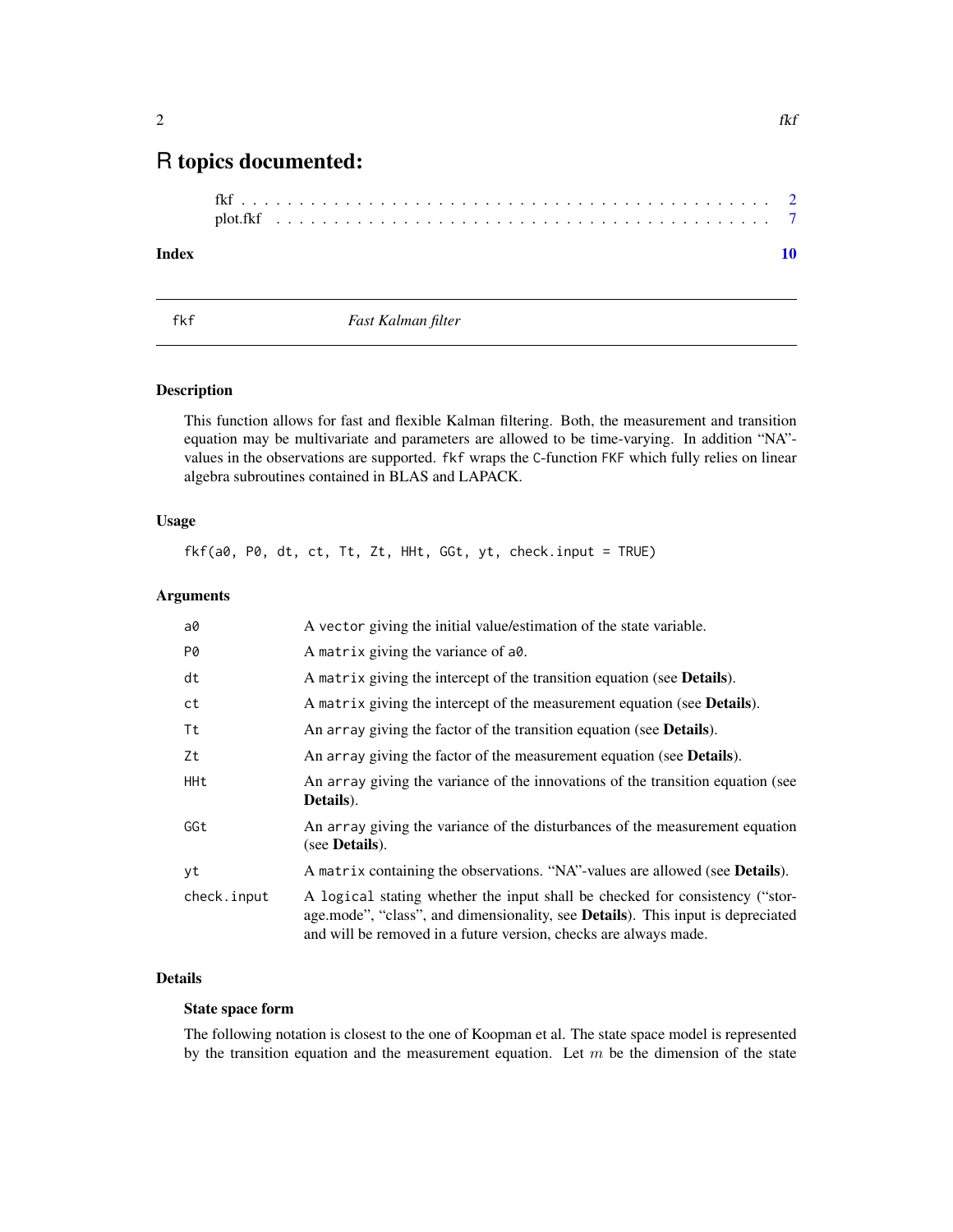### <span id="page-1-0"></span>R topics documented:

#### $\blacksquare$

<span id="page-1-1"></span>

fkf *Fast Kalman filter*

#### Description

This function allows for fast and flexible Kalman filtering. Both, the measurement and transition equation may be multivariate and parameters are allowed to be time-varying. In addition "NA" values in the observations are supported. fkf wraps the C-function FKF which fully relies on linear algebra subroutines contained in BLAS and LAPACK.

#### Usage

fkf(a0, P0, dt, ct, Tt, Zt, HHt, GGt, yt, check.input = TRUE)

#### Arguments

| a0          | A vector giving the initial value/estimation of the state variable.                                                                                                                                                                         |
|-------------|---------------------------------------------------------------------------------------------------------------------------------------------------------------------------------------------------------------------------------------------|
| P0          | A matrix giving the variance of a0.                                                                                                                                                                                                         |
| dt          | A matrix giving the intercept of the transition equation (see <b>Details</b> ).                                                                                                                                                             |
| ct          | A matrix giving the intercept of the measurement equation (see Details).                                                                                                                                                                    |
| Τt          | An array giving the factor of the transition equation (see <b>Details</b> ).                                                                                                                                                                |
| Ζt          | An array giving the factor of the measurement equation (see <b>Details</b> ).                                                                                                                                                               |
| HHt         | An array giving the variance of the innovations of the transition equation (see<br>Details).                                                                                                                                                |
| GGt         | An array giving the variance of the disturbances of the measurement equation<br>(see <b>Details</b> ).                                                                                                                                      |
| yt          | A matrix containing the observations. "NA"-values are allowed (see <b>Details</b> ).                                                                                                                                                        |
| check.input | A logical stating whether the input shall be checked for consistency ("stor-<br>age.mode", "class", and dimensionality, see <b>Details</b> ). This input is depreciated<br>and will be removed in a future version, checks are always made. |

#### Details

#### State space form

The following notation is closest to the one of Koopman et al. The state space model is represented by the transition equation and the measurement equation. Let  $m$  be the dimension of the state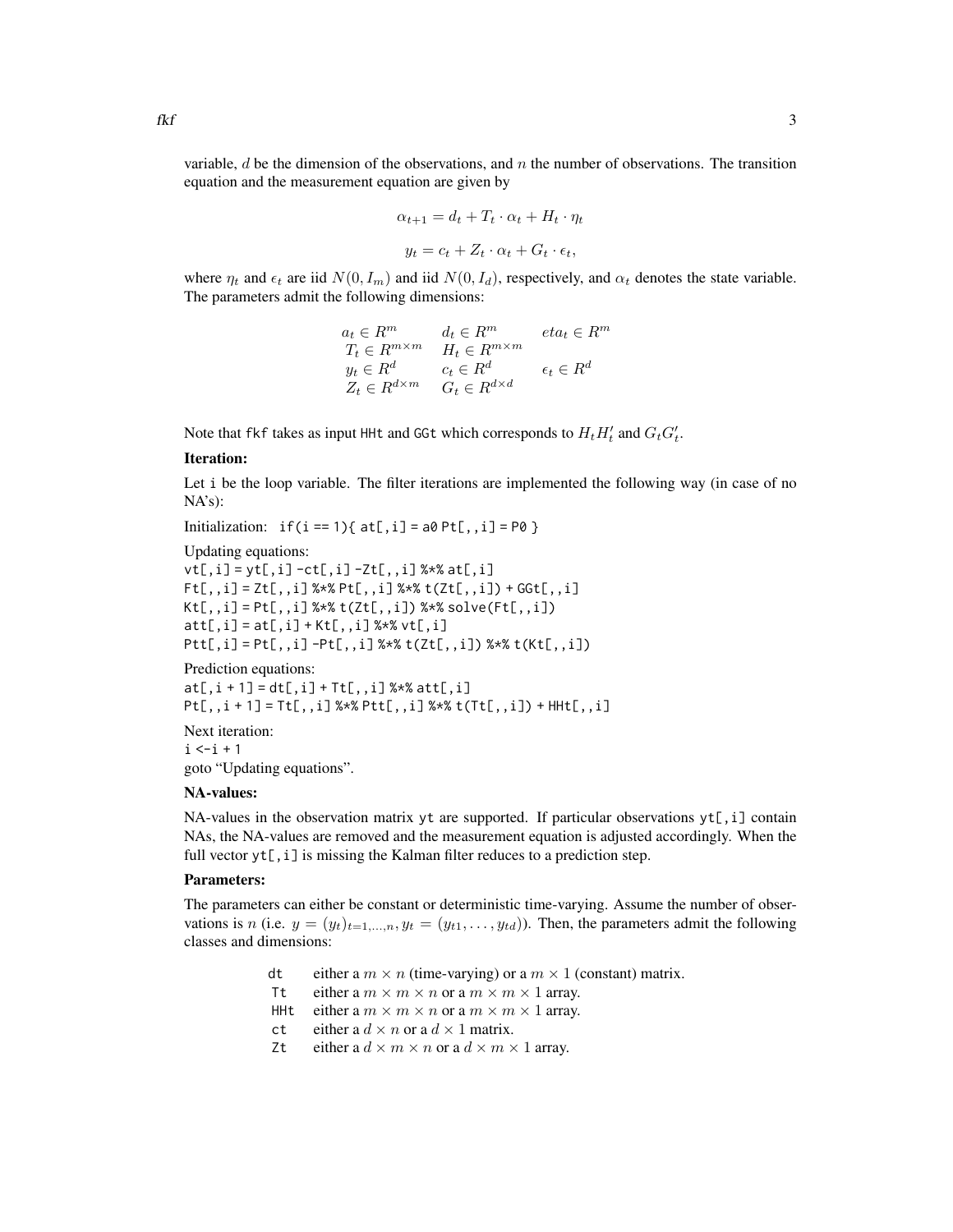variable,  $d$  be the dimension of the observations, and  $n$  the number of observations. The transition equation and the measurement equation are given by

$$
\alpha_{t+1} = d_t + T_t \cdot \alpha_t + H_t \cdot \eta_t
$$

$$
y_t = c_t + Z_t \cdot \alpha_t + G_t \cdot \epsilon_t,
$$

where  $\eta_t$  and  $\epsilon_t$  are iid  $N(0, I_m)$  and iid  $N(0, I_d)$ , respectively, and  $\alpha_t$  denotes the state variable. The parameters admit the following dimensions:

$$
a_t \in R^m \qquad d_t \in R^m \qquad eta_t \in R^m
$$
  
\n
$$
T_t \in R^{m \times m} \qquad H_t \in R^{m \times m}
$$
  
\n
$$
y_t \in R^d \qquad c_t \in R^d \qquad \epsilon_t \in R^d
$$
  
\n
$$
Z_t \in R^{d \times m} \qquad G_t \in R^{d \times d}
$$

Note that fkf takes as input HHt and GGt which corresponds to  $H_t H_t'$  and  $G_t G_t'$ .

#### Iteration:

Let i be the loop variable. The filter iterations are implemented the following way (in case of no NA's):

Initialization:  $if(i == 1) { at[, i] = a0 Pt[, i] = PQ }$ 

Updating equations:

```
vt[,i] = yt[,i] -ct[,i] -Zt[,,i] %*% at[,i]
Ft[,, i] = Zt[,, i] %*% Pt[,, i] %*% t(Zt[,, i]) + GGt[,, i]Kt[,, i] = Pt[,, i] %*% t(Zt[,, i]) %*% solve(Ft[,, i])
att[, i] = at[, i] + Kt[, i] %*% vt[, i]Ptt[,i] = Pt[,,i] -Pt[,,i] %*% t(Zt[,,i]) %*% t(Kt[,,i])
```
Prediction equations:

```
at[, i + 1] = dt[, i] + Tt[, j] %*% att[, i]Pt[,, i + 1] = Tt[,, i] %*% Pt[t[,, i] %*% t(Tt[,, i]) + HHL[,, i]
```
Next iteration:  $i \le i + 1$ goto "Updating equations".

#### NA-values:

NA-values in the observation matrix yt are supported. If particular observations  $yt[$ , i] contain NAs, the NA-values are removed and the measurement equation is adjusted accordingly. When the full vector  $yt[,i]$  is missing the Kalman filter reduces to a prediction step.

#### Parameters:

The parameters can either be constant or deterministic time-varying. Assume the number of observations is n (i.e.  $y = (y_t)_{t=1,\dots,n}$ ,  $y_t = (y_{t1}, \dots, y_{td})$ ). Then, the parameters admit the following classes and dimensions:

- dt either a  $m \times n$  (time-varying) or a  $m \times 1$  (constant) matrix.
- Tt either a  $m \times m \times n$  or a  $m \times m \times 1$  array.
- HHt either a  $m \times m \times n$  or a  $m \times m \times 1$  array.
- ct either a  $d \times n$  or a  $d \times 1$  matrix.
- Zt either a  $d \times m \times n$  or a  $d \times m \times 1$  array.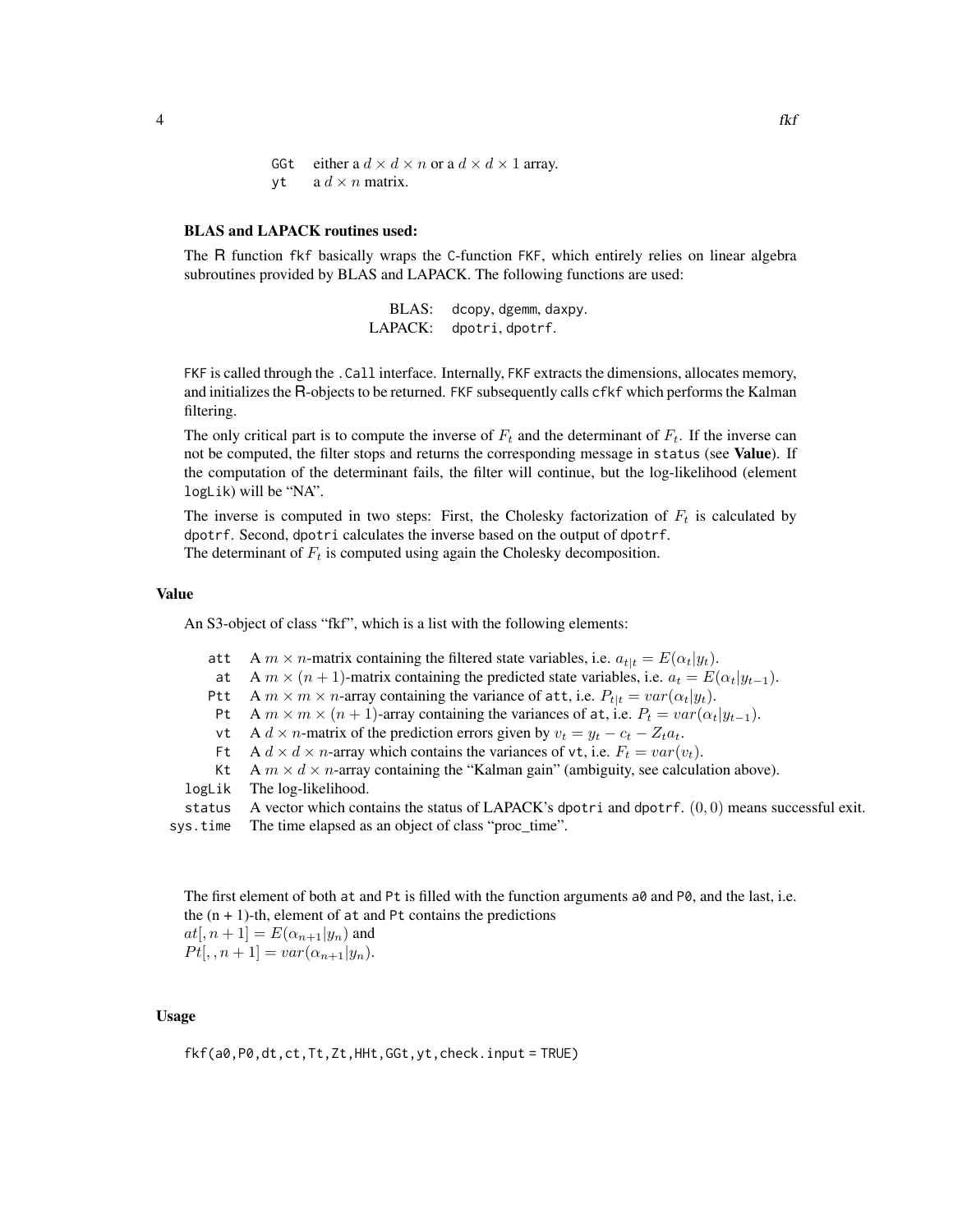GGt either a  $d \times d \times n$  or a  $d \times d \times 1$  array.  $vt$  a  $d \times n$  matrix.

#### BLAS and LAPACK routines used:

The R function fkf basically wraps the C-function FKF, which entirely relies on linear algebra subroutines provided by BLAS and LAPACK. The following functions are used:

> BLAS: dcopy, dgemm, daxpy. LAPACK: dpotri, dpotrf.

FKF is called through the .Call interface. Internally, FKF extracts the dimensions, allocates memory, and initializes the R-objects to be returned. FKF subsequently calls cfkf which performs the Kalman filtering.

The only critical part is to compute the inverse of  $F_t$  and the determinant of  $F_t$ . If the inverse can not be computed, the filter stops and returns the corresponding message in status (see Value). If the computation of the determinant fails, the filter will continue, but the log-likelihood (element logLik) will be "NA".

The inverse is computed in two steps: First, the Cholesky factorization of  $F_t$  is calculated by dpotrf. Second, dpotri calculates the inverse based on the output of dpotrf. The determinant of  $F_t$  is computed using again the Cholesky decomposition.

#### Value

An S3-object of class "fkf", which is a list with the following elements:

- att A  $m \times n$ -matrix containing the filtered state variables, i.e.  $a_{t|t} = E(\alpha_t|y_t)$ .
- at A  $m \times (n + 1)$ -matrix containing the predicted state variables, i.e.  $a_t = E(\alpha_t | y_{t-1})$ .
- Ptt A  $m \times m \times n$ -array containing the variance of att, i.e.  $P_{t|t} = var(\alpha_t|y_t)$ .
- Pt A  $m \times m \times (n + 1)$ -array containing the variances of at, i.e.  $P_t = var(\alpha_t | y_{t-1})$ .
- vt A  $d \times n$ -matrix of the prediction errors given by  $v_t = y_t c_t Z_t a_t$ .
- Ft A  $d \times d \times n$ -array which contains the variances of vt, i.e.  $F_t = var(v_t)$ .
- Kt A  $m \times d \times n$ -array containing the "Kalman gain" (ambiguity, see calculation above).
- logLik The log-likelihood.

status A vector which contains the status of LAPACK's dpotri and dpotrf.  $(0, 0)$  means successful exit.

sys.time The time elapsed as an object of class "proc\_time".

The first element of both at and Pt is filled with the function arguments  $a\theta$  and P $\theta$ , and the last, i.e. the  $(n + 1)$ -th, element of at and Pt contains the predictions

 $at(n+1) = E(\alpha_{n+1}|y_n)$  and  $Pt[, n+1] = var(\alpha_{n+1}|y_n).$ 

#### Usage

fkf(a0,P0,dt,ct,Tt,Zt,HHt,GGt,yt,check.input = TRUE)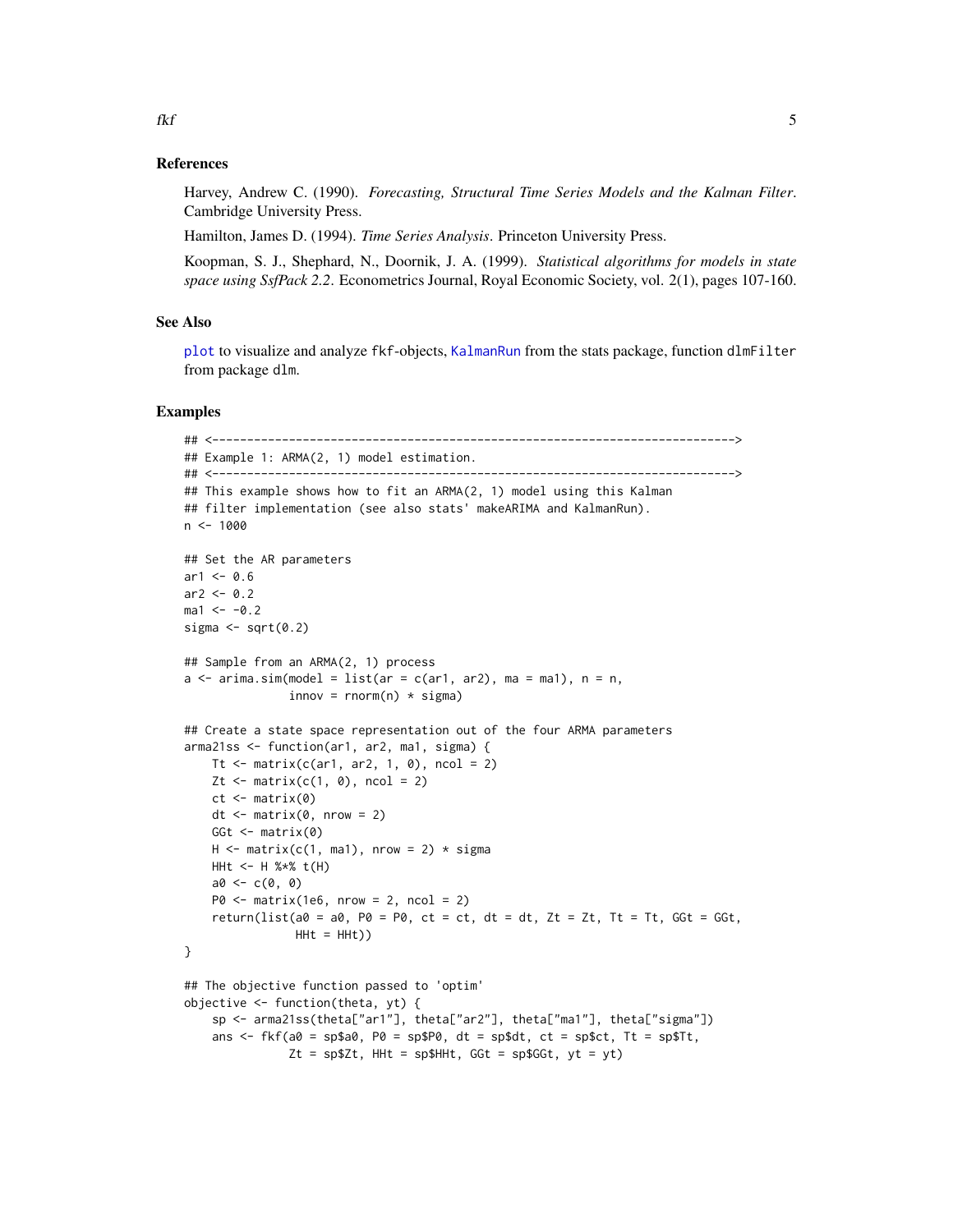#### References

Harvey, Andrew C. (1990). *Forecasting, Structural Time Series Models and the Kalman Filter*. Cambridge University Press.

Hamilton, James D. (1994). *Time Series Analysis*. Princeton University Press.

Koopman, S. J., Shephard, N., Doornik, J. A. (1999). *Statistical algorithms for models in state space using SsfPack 2.2*. Econometrics Journal, Royal Economic Society, vol. 2(1), pages 107-160.

#### See Also

[plot](#page-6-1) to visualize and analyze fkf-objects, [KalmanRun](#page-0-0) from the stats package, function dlmFilter from package dlm.

#### Examples

```
## <--------------------------------------------------------------------------->
## Example 1: ARMA(2, 1) model estimation.
## <--------------------------------------------------------------------------->
## This example shows how to fit an ARMA(2, 1) model using this Kalman
## filter implementation (see also stats' makeARIMA and KalmanRun).
n < -1000## Set the AR parameters
ar1 < -0.6ar2 < -0.2ma1 < -0.2sigma \leq sqrt(0.2)## Sample from an ARMA(2, 1) process
a \leq -\arima.sim(model = list(ar = c(ar1, ar2), ma = ma1), n = n,innov = rnorm(n) * sigma)## Create a state space representation out of the four ARMA parameters
arma21ss <- function(ar1, ar2, ma1, sigma) {
    Tt \le matrix(c(ar1, ar2, 1, 0), ncol = 2)
   Zt \leq matrix(c(1, 0), ncol = 2)
   ct <- matrix(0)
   dt \leq matrix(0, nrow = 2)
   GGt \leq matrix(0)
   H \le - matrix(c(1, ma1), nrow = 2) * sigma
   HHt <- H %*% t(H)
   a0 < -c(0, 0)P0 \leq - matrix(1e6, nrow = 2, ncol = 2)
    return(list(a0 = a0, P0 = P0, ct = ct, dt = dt, Zt = Zt, Tt = Tt, GGt = GGt,
                HHt = HHt))
}
## The objective function passed to 'optim'
objective <- function(theta, yt) {
    sp <- arma21ss(theta["ar1"], theta["ar2"], theta["ma1"], theta["sigma"])
    ans \leq fkf(a0 = sp$a0, P0 = sp$P0, dt = sp$dt, ct = sp$ct, Tt = sp$Tt,
               Zt = sp$Zt, HHt = sp$HHt, Ggt = sp$GGt, yt = yt)
```
<span id="page-4-0"></span> $f$ kf  $\overline{\phantom{a}}$  5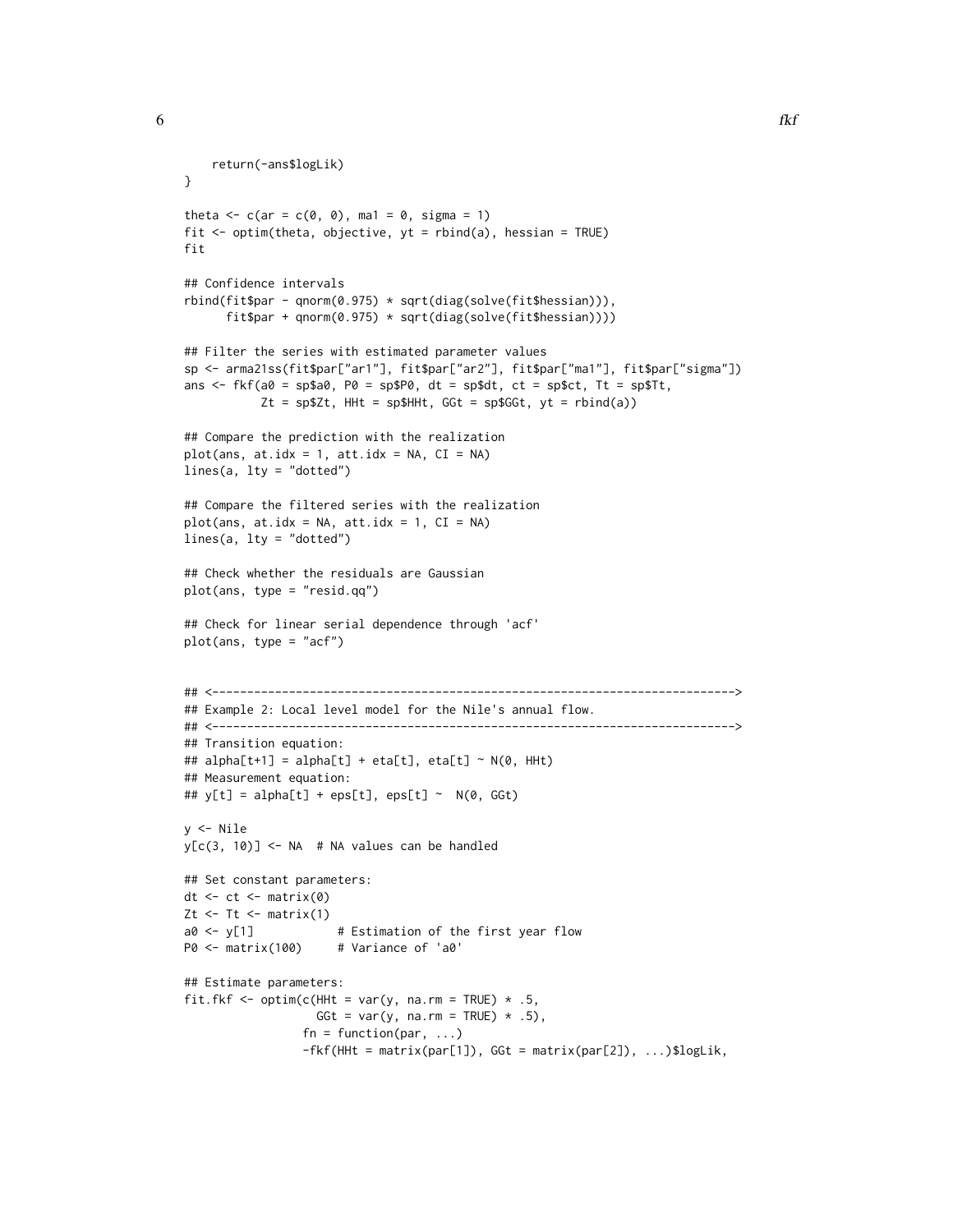```
return(-ans$logLik)
}
theta \leq c(ar = c(0, 0), ma1 = 0, sigma = 1)
fit \le optim(theta, objective, yt = rbind(a), hessian = TRUE)
fit
## Confidence intervals
rbind(fit$par - qnorm(0.975) * sqrt(diag(solve(fit$hessian))),
      fit$par + qnorm(0.975) * sqrt(diag(solve(fit$hessian))))
## Filter the series with estimated parameter values
sp <- arma21ss(fit$par["ar1"], fit$par["ar2"], fit$par["ma1"], fit$par["sigma"])
ans \leq fkf(a0 = sp$a0, P0 = sp$P0, dt = sp$dt, ct = sp$ct, Tt = sp$Tt,
           Zt = sp$Zt, HHL = sp$HHt, GGL = sp$GGt, yt = rhind(a))## Compare the prediction with the realization
plot(ans, at.idx = 1, att.idx = NA, CI = NA)
lines(a, lty = "dotted")
## Compare the filtered series with the realization
plot(ans, at.idx = NA, att.idx = 1, CI = NA)
lines(a, lty = "dotted")
## Check whether the residuals are Gaussian
plot(ans, type = "resid.qq")
## Check for linear serial dependence through 'acf'
plot(ans, type = "acf")
## <--------------------------------------------------------------------------->
## Example 2: Local level model for the Nile's annual flow.
## <--------------------------------------------------------------------------->
## Transition equation:
## alpha[t+1] = alpha[t] + eta[t], eta[t] ~ N(\emptyset, H) HHt)
## Measurement equation:
## y[t] = alpha[t] + eps[t], eps[t] ~ N(0, GGt)y <- Nile
y[c(3, 10)] \leftarrow NA # NA values can be handled
## Set constant parameters:
dt \le- ct \le- matrix(0)
Zt \le- Tt \le- matrix(1)
a0 <- y[1] # Estimation of the first year flow
P0 <- matrix(100) # Variance of 'a0'
## Estimate parameters:
fit.fkf <- optim(c(HHt = var(y, na.rm = TRUE) * .5,
                  GGt = var(y, na.rm = TRUE) * .5,
                 fn = function(par, ...)-fkf(HHt = matrix(par[1]), GGt = matrix(par[2]), ...)$logLik,
```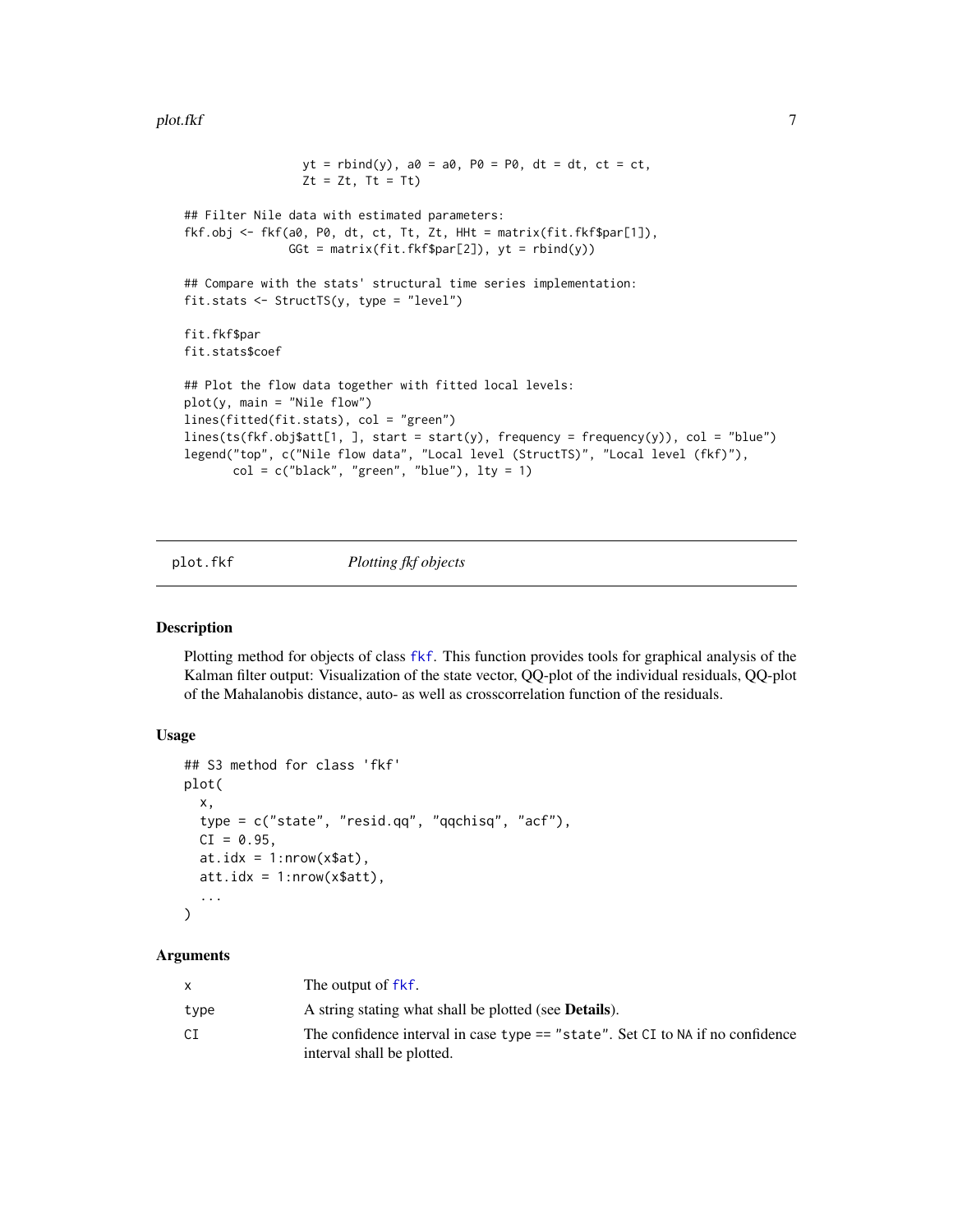#### <span id="page-6-0"></span>plot.fkf 7

```
yt = rbind(y), a0 = a0, P0 = P0, dt = dt, ct = ct,
                 Zt = Zt, Tt = Tt## Filter Nile data with estimated parameters:
fkf.obj <- fkf(a0, P0, dt, ct, Tt, Zt, HHt = matrix(fit.fkf$par[1]),
               GGt = matrix(fit.fkf$par[2]), yt =rbind(y))
## Compare with the stats' structural time series implementation:
fit.stats <- StructTS(y, type = "level")
fit.fkf$par
fit.stats$coef
## Plot the flow data together with fitted local levels:
plot(y, main = "Nile flow")
lines(fitted(fit.stats), col = "green")
lines(ts(fkf.obj$att[1, ], start = start(y), frequency = frequency(y)), col = "blue")
legend("top", c("Nile flow data", "Local level (StructTS)", "Local level (fkf)"),
       col = c("black", "green", "blue"), lty = 1)
```
<span id="page-6-1"></span>

#### plot.fkf *Plotting fkf objects*

#### Description

Plotting method for objects of class [fkf](#page-1-1). This function provides tools for graphical analysis of the Kalman filter output: Visualization of the state vector, QQ-plot of the individual residuals, QQ-plot of the Mahalanobis distance, auto- as well as crosscorrelation function of the residuals.

#### Usage

```
## S3 method for class 'fkf'
plot(
  x,
  type = c("state", "resid.qq", "qqchisq", "acf"),
 CI = 0.95,at.idx = 1: nrow(x$at),att.idx = 1:nrow(x$att),...
)
```
#### Arguments

|      | The output of fkf.                                                                                           |
|------|--------------------------------------------------------------------------------------------------------------|
| type | A string stating what shall be plotted (see <b>Details</b> ).                                                |
| СI   | The confidence interval in case type == "state". Set CI to NA if no confidence<br>interval shall be plotted. |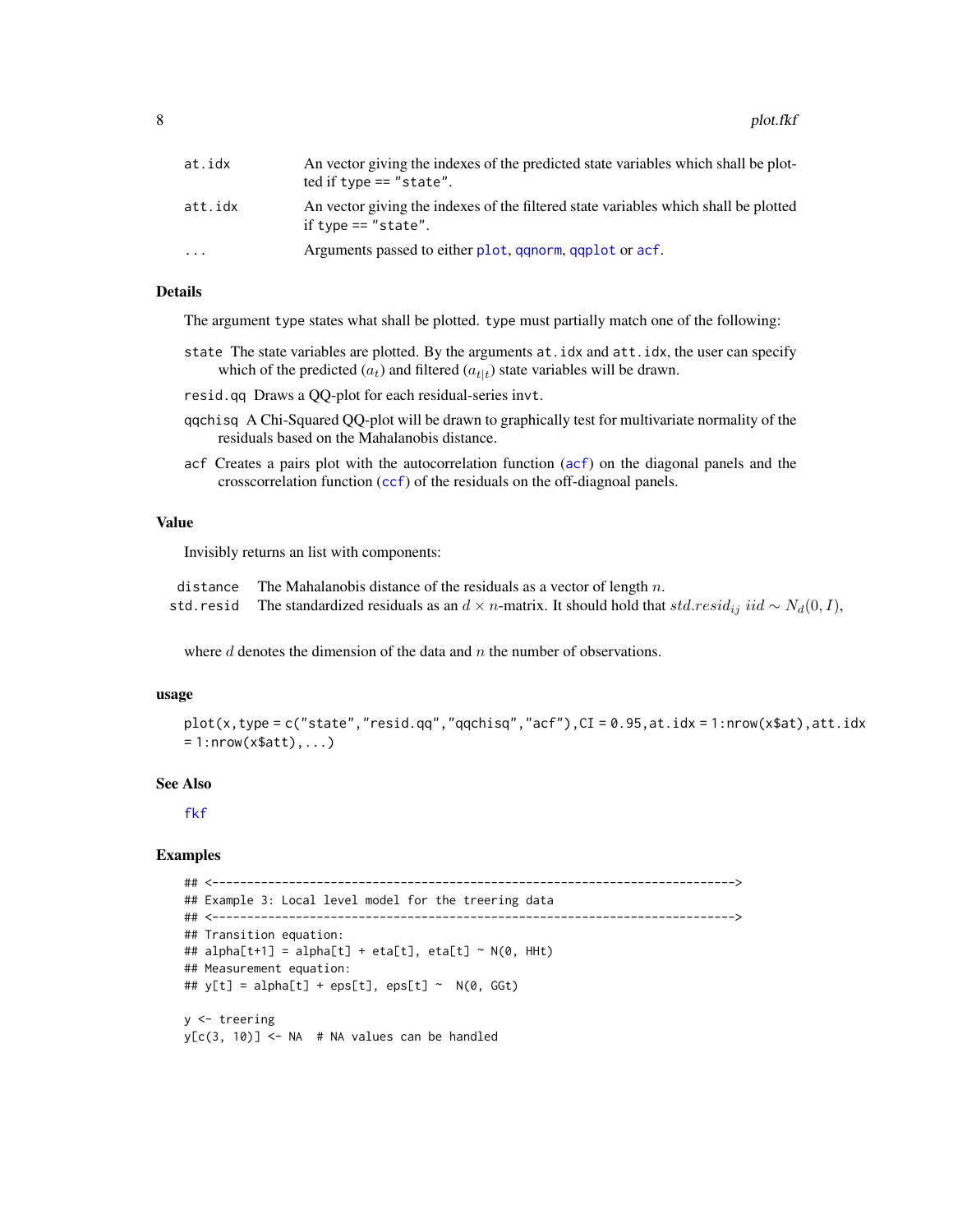<span id="page-7-0"></span>

| at.idx  | An vector giving the indexes of the predicted state variables which shall be plot-<br>ted if type $==$ "state". |
|---------|-----------------------------------------------------------------------------------------------------------------|
| att.idx | An vector giving the indexes of the filtered state variables which shall be plotted<br>if type $==$ "state".    |
| .       | Arguments passed to either plot, ganorm, gaplot or acf.                                                         |

#### Details

The argument type states what shall be plotted. type must partially match one of the following:

- state The state variables are plotted. By the arguments at.idx and att.idx, the user can specify which of the predicted  $(a_t)$  and filtered  $(a_{t|t})$  state variables will be drawn.
- resid.qq Draws a QQ-plot for each residual-series invt.
- qqchisq A Chi-Squared QQ-plot will be drawn to graphically test for multivariate normality of the residuals based on the Mahalanobis distance.
- acf Creates a pairs plot with the autocorrelation function ([acf](#page-0-0)) on the diagonal panels and the crosscorrelation function ([ccf](#page-0-0)) of the residuals on the off-diagnoal panels.

#### Value

Invisibly returns an list with components:

| distance The Mahalanobis distance of the residuals as a vector of length $n$ .                                               |
|------------------------------------------------------------------------------------------------------------------------------|
| std.resid The standardized residuals as an $d \times n$ -matrix. It should hold that $std.resid_{ij}$ iid $\sim N_d(0, I)$ , |

where  $d$  denotes the dimension of the data and  $n$  the number of observations.

#### usage

```
plot(x, type = c("state", "resid.qq", "qqchisq", "acf"), CI = 0.95, at.idx = 1:nrow(x$at), att.idx= 1:nrow(x$att), \ldots
```
#### See Also

[fkf](#page-1-1)

#### Examples

```
## <--------------------------------------------------------------------------->
## Example 3: Local level model for the treering data
## <--------------------------------------------------------------------------->
## Transition equation:
## alpha[t+1] = alpha[t] + eta[t], eta[t] ~ N(\emptyset, H) HHt)
## Measurement equation:
## y[t] = alpha[t] + eps[t], eps[t] ~ N(0, GGt)y <- treering
y[c(3, 10)] <- NA # NA values can be handled
```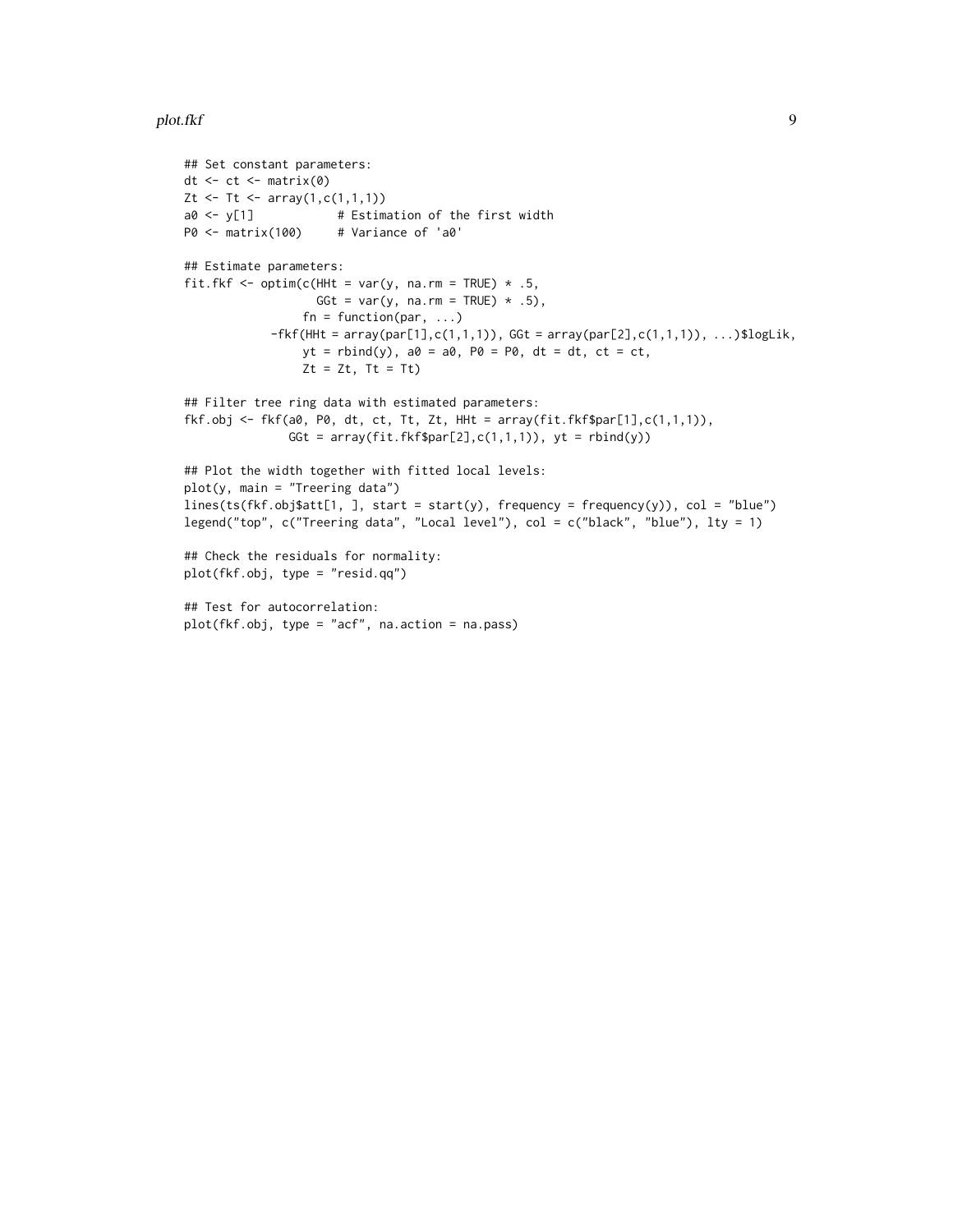```
## Set constant parameters:
dt \leftarrow ct \leftarrow matrix(\theta)Zt <- Tt <- array(1, c(1, 1, 1))a0 \leq y[1] # Estimation of the first width
P0 <- matrix(100) # Variance of 'a0'
## Estimate parameters:
fit.fkf <- optim(c(HHt = var(y, na.rm = TRUE) * .5,
                   GGt = var(y, na.rm = TRUE) * .5,
                 fn = function(par, ...)-fkf(HHt = array(par[1], c(1,1,1)), GGt = array(par[2], c(1,1,1)), ...)$logLik,
                 yt = rbind(y), a0 = a0, P0 = P0, dt = dt, ct = ct,
                 Zt = Zt, Tt = Tt)
## Filter tree ring data with estimated parameters:
fkf.obj <- fkf(a0, P0, dt, ct, Tt, Zt, HHt = array(fit.fkf$par[1],c(1,1,1)),
               GGt = array(fit.fkf$par[2],c(1,1,1)), yt = rbind(y))
## Plot the width together with fitted local levels:
plot(y, main = "Treering data")
lines(ts(fkf.obj$att[1, ], start = start(y), frequency = frequency(y)), col = "blue")
legend("top", c("Treering data", "Local level"), col = c("black", "blue"), lty = 1)
## Check the residuals for normality:
plot(fkf.obj, type = "resid.qq")
## Test for autocorrelation:
plot(fkf.obj, type = "acf", na.action = na.pass)
```